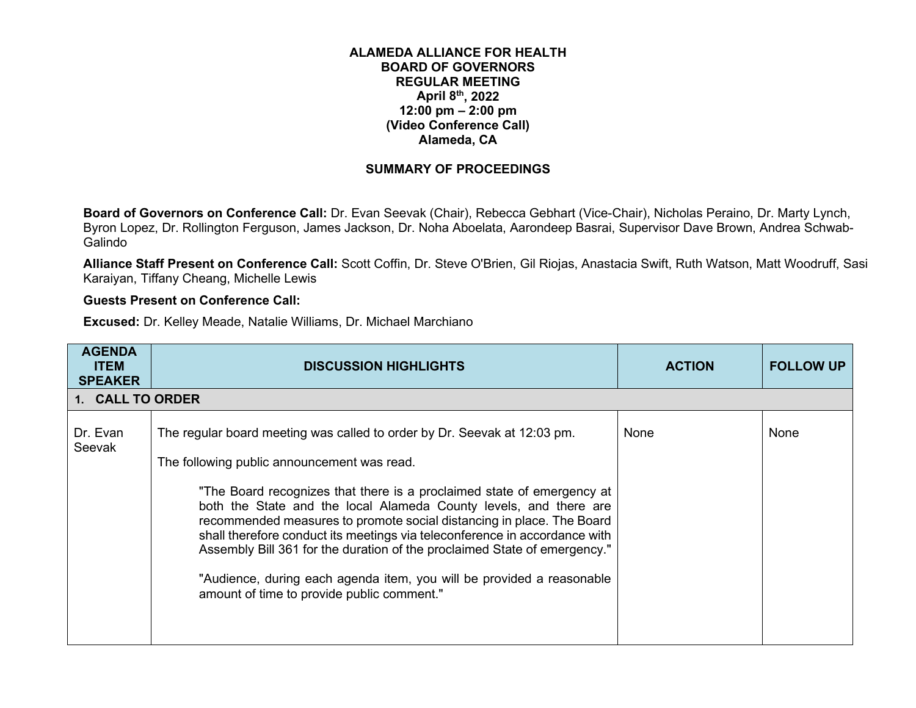## **ALAMEDA ALLIANCE FOR HEALTH BOARD OF GOVERNORS REGULAR MEETING April 8th, 2022 12:00 pm – 2:00 pm (Video Conference Call) Alameda, CA**

## **SUMMARY OF PROCEEDINGS**

**Board of Governors on Conference Call:** Dr. Evan Seevak (Chair), Rebecca Gebhart (Vice-Chair), Nicholas Peraino, Dr. Marty Lynch, Byron Lopez, Dr. Rollington Ferguson, James Jackson, Dr. Noha Aboelata, Aarondeep Basrai, Supervisor Dave Brown, Andrea Schwab-Galindo

**Alliance Staff Present on Conference Call:** Scott Coffin, Dr. Steve O'Brien, Gil Riojas, Anastacia Swift, Ruth Watson, Matt Woodruff, Sasi Karaiyan, Tiffany Cheang, Michelle Lewis

## **Guests Present on Conference Call:**

**Excused:** Dr. Kelley Meade, Natalie Williams, Dr. Michael Marchiano

| <b>AGENDA</b><br><b>ITEM</b><br><b>SPEAKER</b> | <b>DISCUSSION HIGHLIGHTS</b>                                                                                                                                                                                                                                                                                                                                                                                                                                                                                                                                                                                                      | <b>ACTION</b> | <b>FOLLOW UP</b> |
|------------------------------------------------|-----------------------------------------------------------------------------------------------------------------------------------------------------------------------------------------------------------------------------------------------------------------------------------------------------------------------------------------------------------------------------------------------------------------------------------------------------------------------------------------------------------------------------------------------------------------------------------------------------------------------------------|---------------|------------------|
| 1. CALL TO ORDER                               |                                                                                                                                                                                                                                                                                                                                                                                                                                                                                                                                                                                                                                   |               |                  |
| Dr. Evan<br>Seevak                             | The regular board meeting was called to order by Dr. Seevak at 12:03 pm.<br>The following public announcement was read.<br>"The Board recognizes that there is a proclaimed state of emergency at<br>both the State and the local Alameda County levels, and there are<br>recommended measures to promote social distancing in place. The Board<br>shall therefore conduct its meetings via teleconference in accordance with<br>Assembly Bill 361 for the duration of the proclaimed State of emergency."<br>"Audience, during each agenda item, you will be provided a reasonable<br>amount of time to provide public comment." | None          | None             |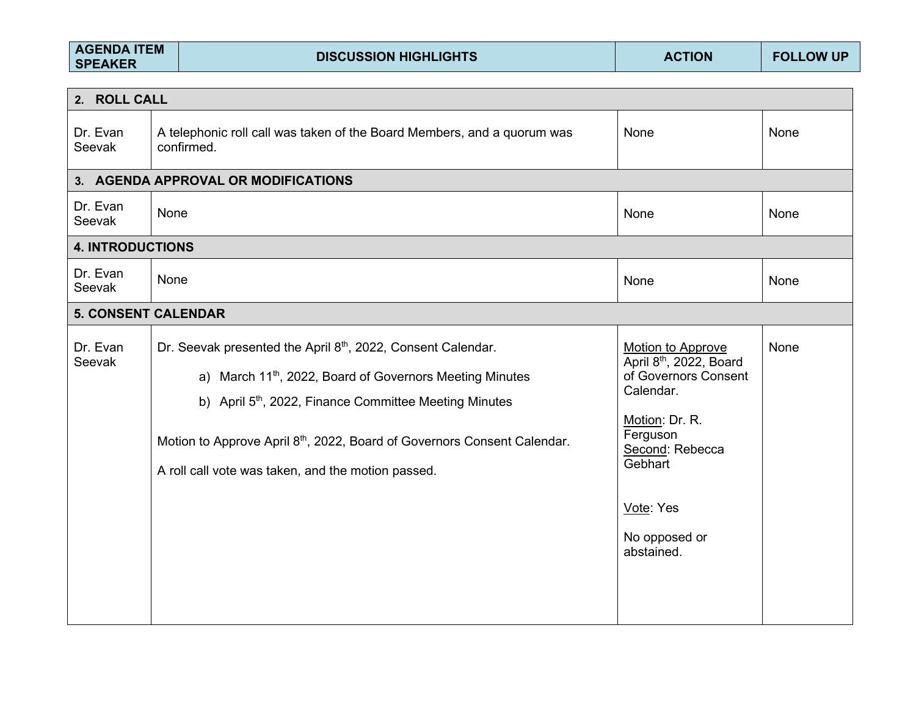| <b>AGENDA ITEM</b><br><b>SPEAKER</b> |      | <b>DISCUSSION HIGHLIGHTS</b>                                                                                                                                                                                                                                                                                                                            | <b>ACTION</b>                                                                                                                                                                                         | <b>FOLLOW UP</b> |
|--------------------------------------|------|---------------------------------------------------------------------------------------------------------------------------------------------------------------------------------------------------------------------------------------------------------------------------------------------------------------------------------------------------------|-------------------------------------------------------------------------------------------------------------------------------------------------------------------------------------------------------|------------------|
| 2. ROLL CALL                         |      |                                                                                                                                                                                                                                                                                                                                                         |                                                                                                                                                                                                       |                  |
| Dr. Evan<br>Seevak                   |      | A telephonic roll call was taken of the Board Members, and a quorum was<br>confirmed.                                                                                                                                                                                                                                                                   | None                                                                                                                                                                                                  | None             |
|                                      |      | 3. AGENDA APPROVAL OR MODIFICATIONS                                                                                                                                                                                                                                                                                                                     |                                                                                                                                                                                                       |                  |
| Dr. Evan<br>Seevak                   | None |                                                                                                                                                                                                                                                                                                                                                         | None                                                                                                                                                                                                  | None             |
| <b>4. INTRODUCTIONS</b>              |      |                                                                                                                                                                                                                                                                                                                                                         |                                                                                                                                                                                                       |                  |
| Dr. Evan<br>Seevak                   | None |                                                                                                                                                                                                                                                                                                                                                         | None                                                                                                                                                                                                  | None             |
| <b>5. CONSENT CALENDAR</b>           |      |                                                                                                                                                                                                                                                                                                                                                         |                                                                                                                                                                                                       |                  |
| Dr. Evan<br>Seevak                   |      | Dr. Seevak presented the April 8th, 2022, Consent Calendar.<br>a) March 11 <sup>th</sup> , 2022, Board of Governors Meeting Minutes<br>b) April 5 <sup>th</sup> , 2022, Finance Committee Meeting Minutes<br>Motion to Approve April 8 <sup>th</sup> , 2022, Board of Governors Consent Calendar.<br>A roll call vote was taken, and the motion passed. | Motion to Approve<br>April 8 <sup>th</sup> , 2022, Board<br>of Governors Consent<br>Calendar.<br>Motion: Dr. R.<br>Ferguson<br>Second: Rebecca<br>Gebhart<br>Vote: Yes<br>No opposed or<br>abstained. | None             |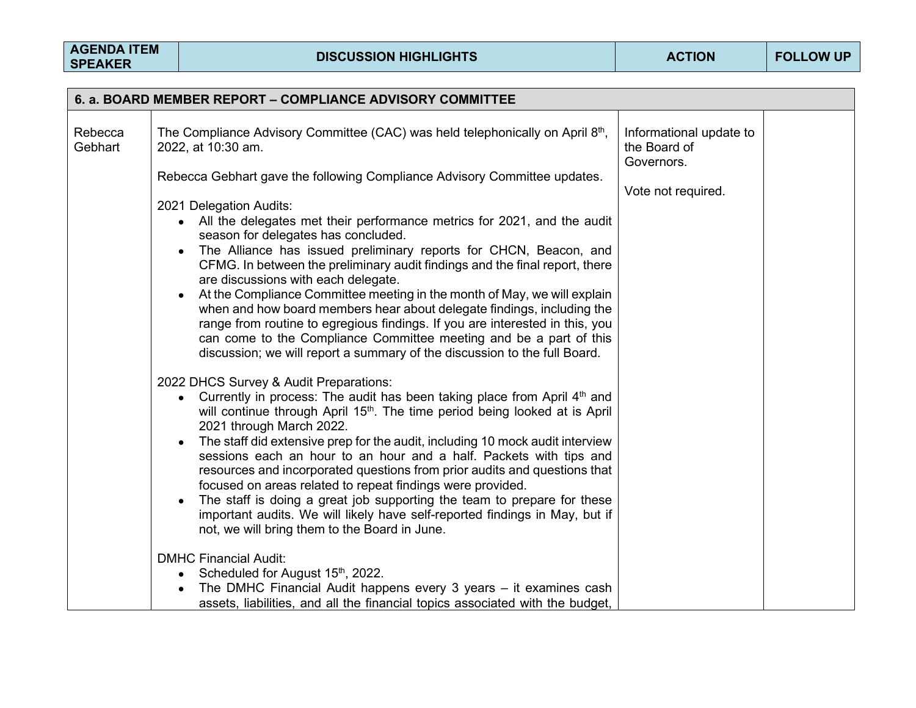|                    | 6. a. BOARD MEMBER REPORT – COMPLIANCE ADVISORY COMMITTEE                                                                                                                                                                                                                                                                                                                                                                                                                                                                                                                                                                                                                                                                                                                                                                                                                                                                                     |                                                                             |
|--------------------|-----------------------------------------------------------------------------------------------------------------------------------------------------------------------------------------------------------------------------------------------------------------------------------------------------------------------------------------------------------------------------------------------------------------------------------------------------------------------------------------------------------------------------------------------------------------------------------------------------------------------------------------------------------------------------------------------------------------------------------------------------------------------------------------------------------------------------------------------------------------------------------------------------------------------------------------------|-----------------------------------------------------------------------------|
| Rebecca<br>Gebhart | The Compliance Advisory Committee (CAC) was held telephonically on April 8th,<br>2022, at 10:30 am.<br>Rebecca Gebhart gave the following Compliance Advisory Committee updates.<br>2021 Delegation Audits:<br>All the delegates met their performance metrics for 2021, and the audit<br>$\bullet$<br>season for delegates has concluded.<br>The Alliance has issued preliminary reports for CHCN, Beacon, and<br>$\bullet$<br>CFMG. In between the preliminary audit findings and the final report, there<br>are discussions with each delegate.<br>At the Compliance Committee meeting in the month of May, we will explain<br>when and how board members hear about delegate findings, including the<br>range from routine to egregious findings. If you are interested in this, you<br>can come to the Compliance Committee meeting and be a part of this                                                                                | Informational update to<br>the Board of<br>Governors.<br>Vote not required. |
|                    | discussion; we will report a summary of the discussion to the full Board.<br>2022 DHCS Survey & Audit Preparations:<br>Currently in process: The audit has been taking place from April 4 <sup>th</sup> and<br>will continue through April 15 <sup>th</sup> . The time period being looked at is April<br>2021 through March 2022.<br>The staff did extensive prep for the audit, including 10 mock audit interview<br>sessions each an hour to an hour and a half. Packets with tips and<br>resources and incorporated questions from prior audits and questions that<br>focused on areas related to repeat findings were provided.<br>The staff is doing a great job supporting the team to prepare for these<br>$\bullet$<br>important audits. We will likely have self-reported findings in May, but if<br>not, we will bring them to the Board in June.<br><b>DMHC Financial Audit:</b><br>Scheduled for August 15th, 2022.<br>$\bullet$ |                                                                             |
|                    | The DMHC Financial Audit happens every 3 years - it examines cash<br>assets, liabilities, and all the financial topics associated with the budget,                                                                                                                                                                                                                                                                                                                                                                                                                                                                                                                                                                                                                                                                                                                                                                                            |                                                                             |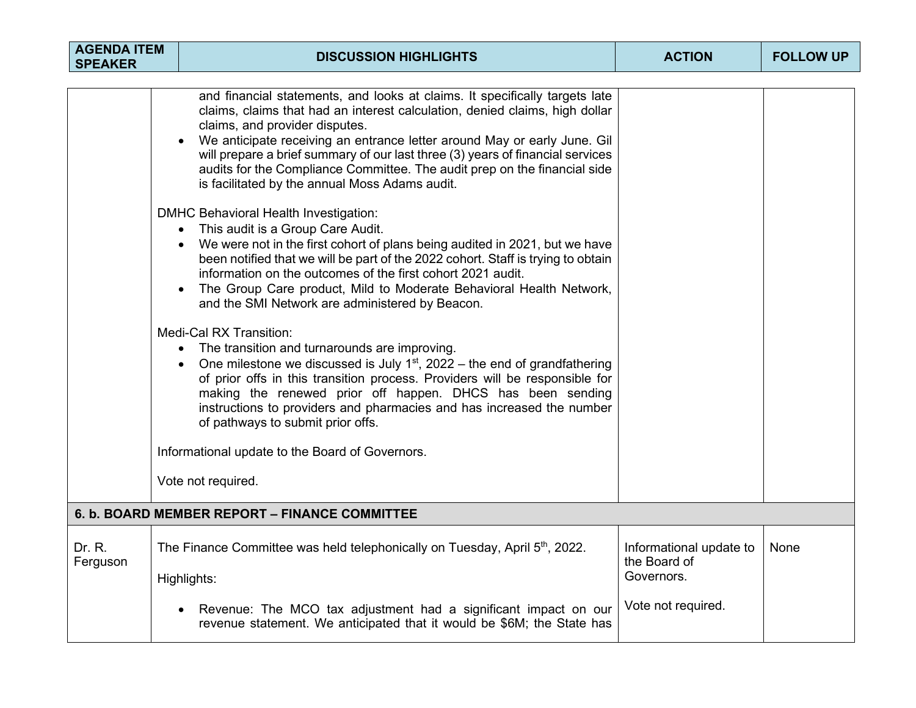| <b>AGENDA ITEM</b><br><b>SPEAKER</b> |  | <b>DISCUSSION HIGHLIGHTS</b>                                                                                                                                                                                                                                                                                                                                                                                                                                                              | <b>ACTION</b>                                         | <b>FOLLOW UP</b> |
|--------------------------------------|--|-------------------------------------------------------------------------------------------------------------------------------------------------------------------------------------------------------------------------------------------------------------------------------------------------------------------------------------------------------------------------------------------------------------------------------------------------------------------------------------------|-------------------------------------------------------|------------------|
|                                      |  |                                                                                                                                                                                                                                                                                                                                                                                                                                                                                           |                                                       |                  |
|                                      |  | and financial statements, and looks at claims. It specifically targets late<br>claims, claims that had an interest calculation, denied claims, high dollar<br>claims, and provider disputes.<br>We anticipate receiving an entrance letter around May or early June. Gil<br>will prepare a brief summary of our last three (3) years of financial services<br>audits for the Compliance Committee. The audit prep on the financial side<br>is facilitated by the annual Moss Adams audit. |                                                       |                  |
|                                      |  | DMHC Behavioral Health Investigation:<br>This audit is a Group Care Audit.<br>We were not in the first cohort of plans being audited in 2021, but we have<br>been notified that we will be part of the 2022 cohort. Staff is trying to obtain<br>information on the outcomes of the first cohort 2021 audit.<br>The Group Care product, Mild to Moderate Behavioral Health Network,<br>and the SMI Network are administered by Beacon.                                                    |                                                       |                  |
|                                      |  | Medi-Cal RX Transition:<br>The transition and turnarounds are improving.<br>$\bullet$<br>One milestone we discussed is July $1st$ , 2022 – the end of grandfathering<br>of prior offs in this transition process. Providers will be responsible for<br>making the renewed prior off happen. DHCS has been sending<br>instructions to providers and pharmacies and has increased the number<br>of pathways to submit prior offs.                                                           |                                                       |                  |
|                                      |  | Informational update to the Board of Governors.                                                                                                                                                                                                                                                                                                                                                                                                                                           |                                                       |                  |
|                                      |  | Vote not required.                                                                                                                                                                                                                                                                                                                                                                                                                                                                        |                                                       |                  |
|                                      |  | 6. b. BOARD MEMBER REPORT - FINANCE COMMITTEE                                                                                                                                                                                                                                                                                                                                                                                                                                             |                                                       |                  |
| Dr. R.<br>Ferguson                   |  | The Finance Committee was held telephonically on Tuesday, April 5 <sup>th</sup> , 2022.<br>Highlights:                                                                                                                                                                                                                                                                                                                                                                                    | Informational update to<br>the Board of<br>Governors. | None             |
|                                      |  | Revenue: The MCO tax adjustment had a significant impact on our<br>revenue statement. We anticipated that it would be \$6M; the State has                                                                                                                                                                                                                                                                                                                                                 | Vote not required.                                    |                  |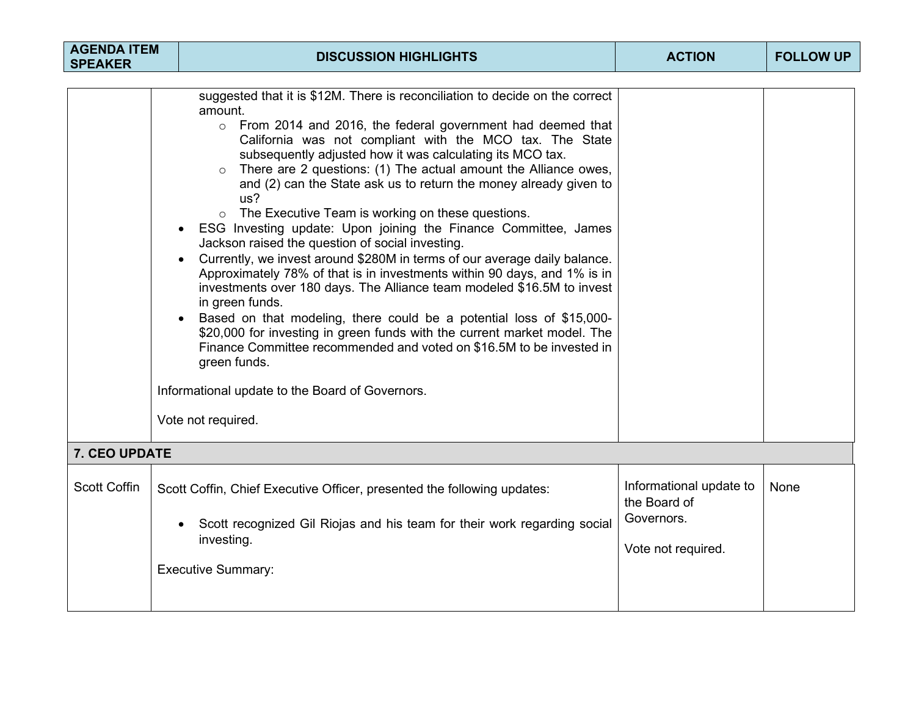| <b>AGENDA ITEM</b><br><b>SPEAKER</b> | <b>DISCUSSION HIGHLIGHTS</b>                                                                                                                                                                                                                                                                                                                                                                                                                                                                                                                                                                                                                                                                                                                                                                                                                                                                                                                                                                                                                                                                                                                                                           | <b>ACTION</b>                                                               | <b>FOLLOW UP</b> |
|--------------------------------------|----------------------------------------------------------------------------------------------------------------------------------------------------------------------------------------------------------------------------------------------------------------------------------------------------------------------------------------------------------------------------------------------------------------------------------------------------------------------------------------------------------------------------------------------------------------------------------------------------------------------------------------------------------------------------------------------------------------------------------------------------------------------------------------------------------------------------------------------------------------------------------------------------------------------------------------------------------------------------------------------------------------------------------------------------------------------------------------------------------------------------------------------------------------------------------------|-----------------------------------------------------------------------------|------------------|
|                                      | suggested that it is \$12M. There is reconciliation to decide on the correct<br>amount.<br>o From 2014 and 2016, the federal government had deemed that<br>California was not compliant with the MCO tax. The State<br>subsequently adjusted how it was calculating its MCO tax.<br>There are 2 questions: (1) The actual amount the Alliance owes,<br>$\circ$<br>and (2) can the State ask us to return the money already given to<br>us?<br>The Executive Team is working on these questions.<br>$\circ$<br>ESG Investing update: Upon joining the Finance Committee, James<br>Jackson raised the question of social investing.<br>Currently, we invest around \$280M in terms of our average daily balance.<br>Approximately 78% of that is in investments within 90 days, and 1% is in<br>investments over 180 days. The Alliance team modeled \$16.5M to invest<br>in green funds.<br>Based on that modeling, there could be a potential loss of \$15,000-<br>\$20,000 for investing in green funds with the current market model. The<br>Finance Committee recommended and voted on \$16.5M to be invested in<br>green funds.<br>Informational update to the Board of Governors. |                                                                             |                  |
|                                      | Vote not required.                                                                                                                                                                                                                                                                                                                                                                                                                                                                                                                                                                                                                                                                                                                                                                                                                                                                                                                                                                                                                                                                                                                                                                     |                                                                             |                  |
| 7. CEO UPDATE                        |                                                                                                                                                                                                                                                                                                                                                                                                                                                                                                                                                                                                                                                                                                                                                                                                                                                                                                                                                                                                                                                                                                                                                                                        |                                                                             |                  |
| <b>Scott Coffin</b>                  | Scott Coffin, Chief Executive Officer, presented the following updates:<br>Scott recognized Gil Riojas and his team for their work regarding social<br>investing.<br><b>Executive Summary:</b>                                                                                                                                                                                                                                                                                                                                                                                                                                                                                                                                                                                                                                                                                                                                                                                                                                                                                                                                                                                         | Informational update to<br>the Board of<br>Governors.<br>Vote not required. | None             |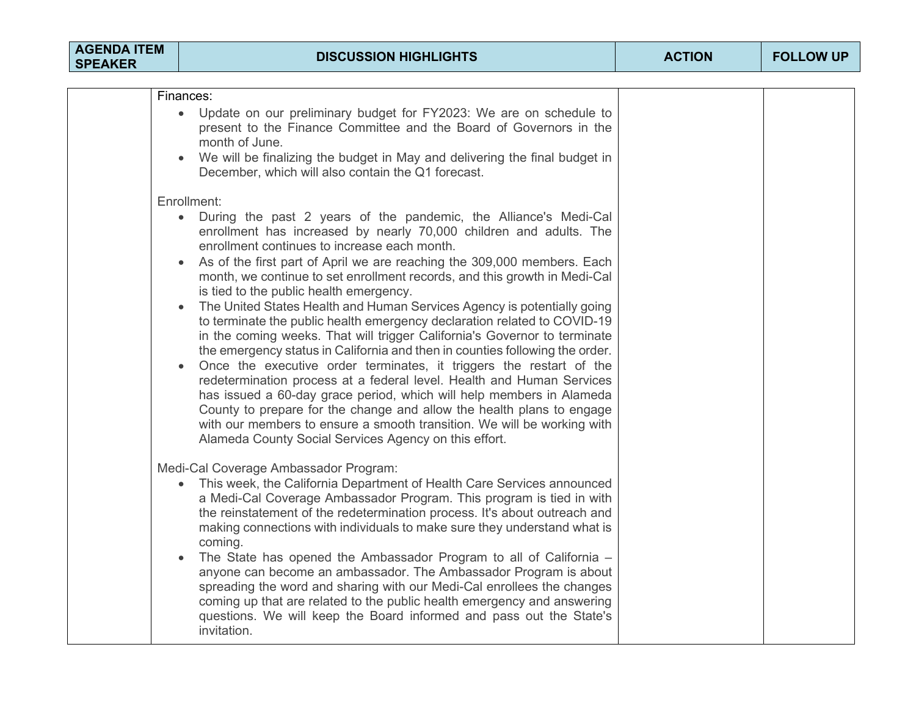| <b>AGENDA ITEM</b><br><b>SPEAKER</b> | <b>DISCUSSION HIGHLIGHTS</b>                                                                                                                                                                                                                                                                                                                                                                                                                                                                                                                                                                                                                                                                                                                                                                                                                                                                                                                                                                                                                                                                                                                                                   | <b>ACTION</b> | <b>FOLLOW UP</b> |
|--------------------------------------|--------------------------------------------------------------------------------------------------------------------------------------------------------------------------------------------------------------------------------------------------------------------------------------------------------------------------------------------------------------------------------------------------------------------------------------------------------------------------------------------------------------------------------------------------------------------------------------------------------------------------------------------------------------------------------------------------------------------------------------------------------------------------------------------------------------------------------------------------------------------------------------------------------------------------------------------------------------------------------------------------------------------------------------------------------------------------------------------------------------------------------------------------------------------------------|---------------|------------------|
|                                      |                                                                                                                                                                                                                                                                                                                                                                                                                                                                                                                                                                                                                                                                                                                                                                                                                                                                                                                                                                                                                                                                                                                                                                                |               |                  |
|                                      | Finances:<br>Update on our preliminary budget for FY2023: We are on schedule to<br>present to the Finance Committee and the Board of Governors in the<br>month of June.<br>We will be finalizing the budget in May and delivering the final budget in<br>December, which will also contain the Q1 forecast.                                                                                                                                                                                                                                                                                                                                                                                                                                                                                                                                                                                                                                                                                                                                                                                                                                                                    |               |                  |
|                                      | Enrollment:<br>During the past 2 years of the pandemic, the Alliance's Medi-Cal<br>$\bullet$<br>enrollment has increased by nearly 70,000 children and adults. The<br>enrollment continues to increase each month.<br>As of the first part of April we are reaching the 309,000 members. Each<br>month, we continue to set enrollment records, and this growth in Medi-Cal<br>is tied to the public health emergency.<br>The United States Health and Human Services Agency is potentially going<br>to terminate the public health emergency declaration related to COVID-19<br>in the coming weeks. That will trigger California's Governor to terminate<br>the emergency status in California and then in counties following the order.<br>Once the executive order terminates, it triggers the restart of the<br>redetermination process at a federal level. Health and Human Services<br>has issued a 60-day grace period, which will help members in Alameda<br>County to prepare for the change and allow the health plans to engage<br>with our members to ensure a smooth transition. We will be working with<br>Alameda County Social Services Agency on this effort. |               |                  |
|                                      | Medi-Cal Coverage Ambassador Program:<br>This week, the California Department of Health Care Services announced<br>a Medi-Cal Coverage Ambassador Program. This program is tied in with<br>the reinstatement of the redetermination process. It's about outreach and<br>making connections with individuals to make sure they understand what is<br>coming.<br>The State has opened the Ambassador Program to all of California -<br>anyone can become an ambassador. The Ambassador Program is about<br>spreading the word and sharing with our Medi-Cal enrollees the changes<br>coming up that are related to the public health emergency and answering<br>questions. We will keep the Board informed and pass out the State's<br>invitation.                                                                                                                                                                                                                                                                                                                                                                                                                               |               |                  |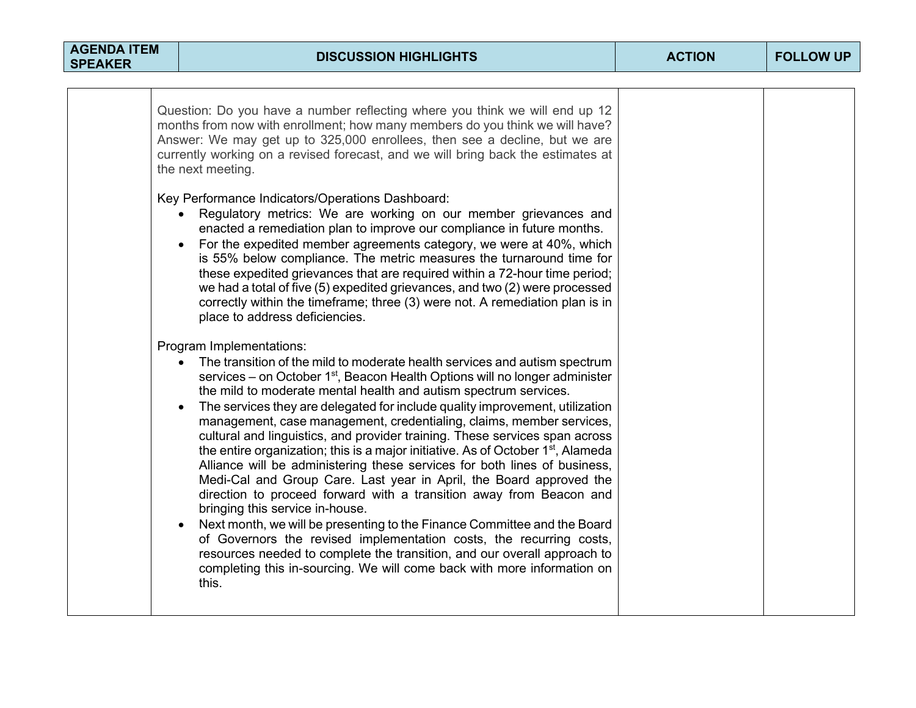| <b>AGENDA ITEM</b><br><b>SPEAKER</b> | <b>DISCUSSION HIGHLIGHTS</b>                                                                                                                                                                                                                                                                                                                                                                                                                                                                                                                                                                                                                                                                                                                                                                                                                                                                                                                                                                                                                                                                                                                                                                                                                                                                                                                                                                                                                                                                                                                                                                                                                                                                                                                                                                                                                                                                                                                                                                                                                                                                                                                                                       | <b>ACTION</b> | <b>FOLLOW UP</b> |
|--------------------------------------|------------------------------------------------------------------------------------------------------------------------------------------------------------------------------------------------------------------------------------------------------------------------------------------------------------------------------------------------------------------------------------------------------------------------------------------------------------------------------------------------------------------------------------------------------------------------------------------------------------------------------------------------------------------------------------------------------------------------------------------------------------------------------------------------------------------------------------------------------------------------------------------------------------------------------------------------------------------------------------------------------------------------------------------------------------------------------------------------------------------------------------------------------------------------------------------------------------------------------------------------------------------------------------------------------------------------------------------------------------------------------------------------------------------------------------------------------------------------------------------------------------------------------------------------------------------------------------------------------------------------------------------------------------------------------------------------------------------------------------------------------------------------------------------------------------------------------------------------------------------------------------------------------------------------------------------------------------------------------------------------------------------------------------------------------------------------------------------------------------------------------------------------------------------------------------|---------------|------------------|
|                                      | Question: Do you have a number reflecting where you think we will end up 12<br>months from now with enrollment; how many members do you think we will have?<br>Answer: We may get up to 325,000 enrollees, then see a decline, but we are<br>currently working on a revised forecast, and we will bring back the estimates at<br>the next meeting.<br>Key Performance Indicators/Operations Dashboard:<br>Regulatory metrics: We are working on our member grievances and<br>enacted a remediation plan to improve our compliance in future months.<br>For the expedited member agreements category, we were at 40%, which<br>is 55% below compliance. The metric measures the turnaround time for<br>these expedited grievances that are required within a 72-hour time period;<br>we had a total of five (5) expedited grievances, and two (2) were processed<br>correctly within the timeframe; three (3) were not. A remediation plan is in<br>place to address deficiencies.<br>Program Implementations:<br>The transition of the mild to moderate health services and autism spectrum<br>services – on October 1 <sup>st</sup> , Beacon Health Options will no longer administer<br>the mild to moderate mental health and autism spectrum services.<br>The services they are delegated for include quality improvement, utilization<br>management, case management, credentialing, claims, member services,<br>cultural and linguistics, and provider training. These services span across<br>the entire organization; this is a major initiative. As of October 1 <sup>st</sup> , Alameda<br>Alliance will be administering these services for both lines of business,<br>Medi-Cal and Group Care. Last year in April, the Board approved the<br>direction to proceed forward with a transition away from Beacon and<br>bringing this service in-house.<br>Next month, we will be presenting to the Finance Committee and the Board<br>of Governors the revised implementation costs, the recurring costs,<br>resources needed to complete the transition, and our overall approach to<br>completing this in-sourcing. We will come back with more information on<br>this. |               |                  |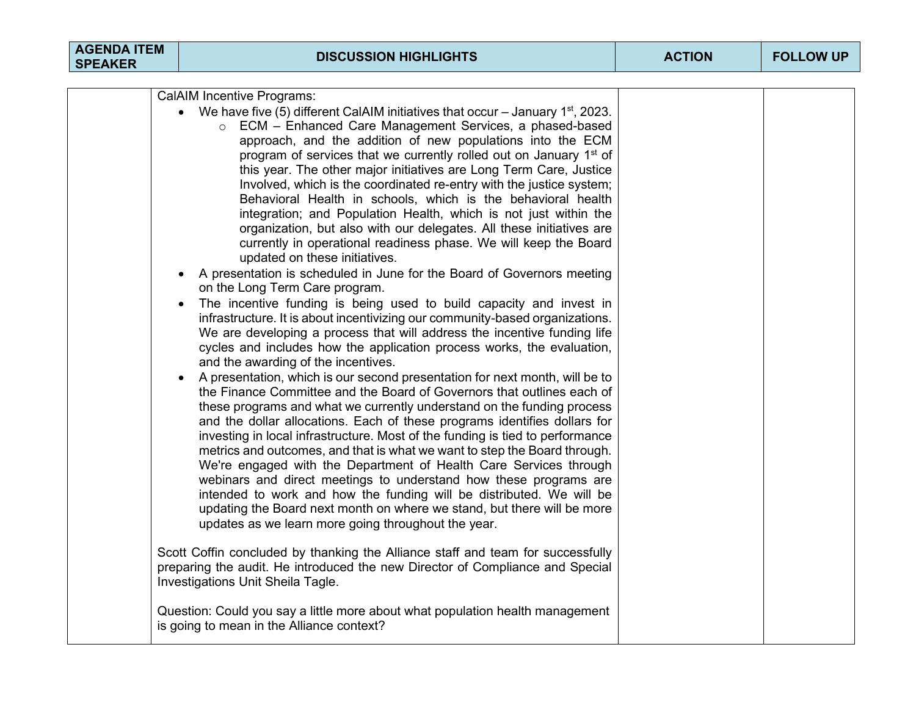| <b>AGENDA ITEM</b><br><b>SPEAKER</b> | <b>DISCUSSION HIGHLIGHTS</b>                                                                                                                                                                                                                                                                                                                                                                                                                                                                                                                                                                                                                                                                                                                                                                                                                                                                                                                                                                                                                                                                                                                                                                                                                                                                                                                                                                                                                                                                                                                                                                                                                                                                                                                                             | <b>ACTION</b> | <b>FOLLOW UP</b> |
|--------------------------------------|--------------------------------------------------------------------------------------------------------------------------------------------------------------------------------------------------------------------------------------------------------------------------------------------------------------------------------------------------------------------------------------------------------------------------------------------------------------------------------------------------------------------------------------------------------------------------------------------------------------------------------------------------------------------------------------------------------------------------------------------------------------------------------------------------------------------------------------------------------------------------------------------------------------------------------------------------------------------------------------------------------------------------------------------------------------------------------------------------------------------------------------------------------------------------------------------------------------------------------------------------------------------------------------------------------------------------------------------------------------------------------------------------------------------------------------------------------------------------------------------------------------------------------------------------------------------------------------------------------------------------------------------------------------------------------------------------------------------------------------------------------------------------|---------------|------------------|
|                                      | <b>CalAIM Incentive Programs:</b><br>• We have five (5) different CalAIM initiatives that occur – January 1 <sup>st</sup> , 2023.<br>○ ECM – Enhanced Care Management Services, a phased-based<br>approach, and the addition of new populations into the ECM<br>program of services that we currently rolled out on January 1 <sup>st</sup> of<br>this year. The other major initiatives are Long Term Care, Justice<br>Involved, which is the coordinated re-entry with the justice system;<br>Behavioral Health in schools, which is the behavioral health<br>integration; and Population Health, which is not just within the<br>organization, but also with our delegates. All these initiatives are<br>currently in operational readiness phase. We will keep the Board<br>updated on these initiatives.<br>A presentation is scheduled in June for the Board of Governors meeting<br>on the Long Term Care program.<br>The incentive funding is being used to build capacity and invest in<br>$\bullet$<br>infrastructure. It is about incentivizing our community-based organizations.<br>We are developing a process that will address the incentive funding life<br>cycles and includes how the application process works, the evaluation,<br>and the awarding of the incentives.<br>A presentation, which is our second presentation for next month, will be to<br>the Finance Committee and the Board of Governors that outlines each of<br>these programs and what we currently understand on the funding process<br>and the dollar allocations. Each of these programs identifies dollars for<br>investing in local infrastructure. Most of the funding is tied to performance<br>metrics and outcomes, and that is what we want to step the Board through. |               |                  |
|                                      | We're engaged with the Department of Health Care Services through<br>webinars and direct meetings to understand how these programs are<br>intended to work and how the funding will be distributed. We will be<br>updating the Board next month on where we stand, but there will be more<br>updates as we learn more going throughout the year.                                                                                                                                                                                                                                                                                                                                                                                                                                                                                                                                                                                                                                                                                                                                                                                                                                                                                                                                                                                                                                                                                                                                                                                                                                                                                                                                                                                                                         |               |                  |
|                                      | Scott Coffin concluded by thanking the Alliance staff and team for successfully<br>preparing the audit. He introduced the new Director of Compliance and Special<br>Investigations Unit Sheila Tagle.<br>Question: Could you say a little more about what population health management<br>is going to mean in the Alliance context?                                                                                                                                                                                                                                                                                                                                                                                                                                                                                                                                                                                                                                                                                                                                                                                                                                                                                                                                                                                                                                                                                                                                                                                                                                                                                                                                                                                                                                      |               |                  |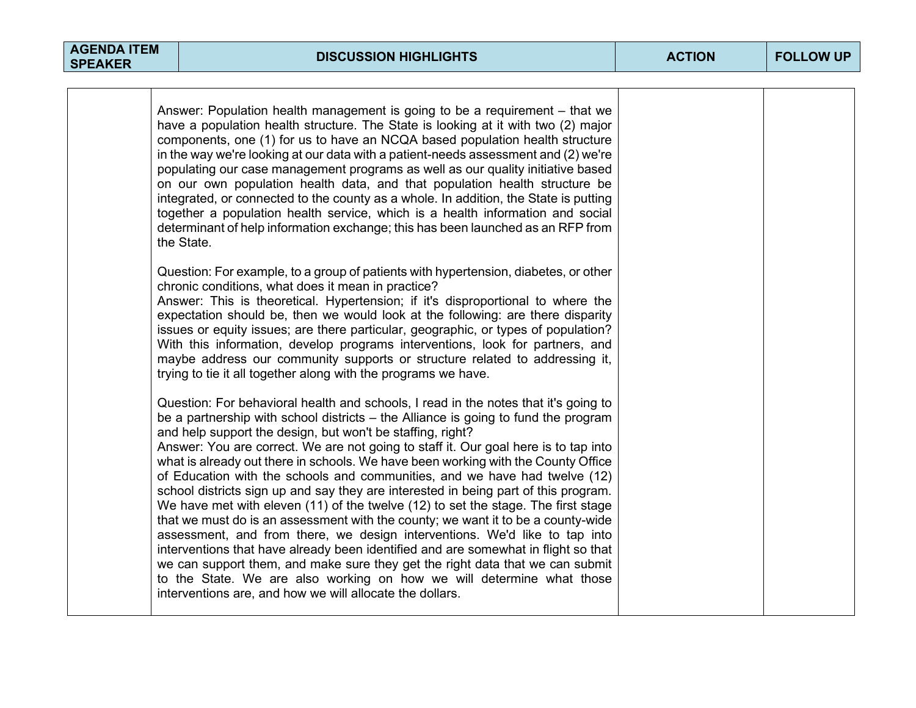| Answer: Population health management is going to be a requirement – that we<br>have a population health structure. The State is looking at it with two (2) major<br>components, one (1) for us to have an NCQA based population health structure<br>in the way we're looking at our data with a patient-needs assessment and (2) we're<br>populating our case management programs as well as our quality initiative based<br>on our own population health data, and that population health structure be<br>integrated, or connected to the county as a whole. In addition, the State is putting<br>together a population health service, which is a health information and social<br>determinant of help information exchange; this has been launched as an RFP from<br>the State.                                                                                                                                                                                                                                                                                                                                                                          |  |
|-------------------------------------------------------------------------------------------------------------------------------------------------------------------------------------------------------------------------------------------------------------------------------------------------------------------------------------------------------------------------------------------------------------------------------------------------------------------------------------------------------------------------------------------------------------------------------------------------------------------------------------------------------------------------------------------------------------------------------------------------------------------------------------------------------------------------------------------------------------------------------------------------------------------------------------------------------------------------------------------------------------------------------------------------------------------------------------------------------------------------------------------------------------|--|
| Question: For example, to a group of patients with hypertension, diabetes, or other<br>chronic conditions, what does it mean in practice?<br>Answer: This is theoretical. Hypertension; if it's disproportional to where the<br>expectation should be, then we would look at the following: are there disparity<br>issues or equity issues; are there particular, geographic, or types of population?<br>With this information, develop programs interventions, look for partners, and<br>maybe address our community supports or structure related to addressing it,<br>trying to tie it all together along with the programs we have.                                                                                                                                                                                                                                                                                                                                                                                                                                                                                                                     |  |
| Question: For behavioral health and schools, I read in the notes that it's going to<br>be a partnership with school districts – the Alliance is going to fund the program<br>and help support the design, but won't be staffing, right?<br>Answer: You are correct. We are not going to staff it. Our goal here is to tap into<br>what is already out there in schools. We have been working with the County Office<br>of Education with the schools and communities, and we have had twelve (12)<br>school districts sign up and say they are interested in being part of this program.<br>We have met with eleven (11) of the twelve (12) to set the stage. The first stage<br>that we must do is an assessment with the county; we want it to be a county-wide<br>assessment, and from there, we design interventions. We'd like to tap into<br>interventions that have already been identified and are somewhat in flight so that<br>we can support them, and make sure they get the right data that we can submit<br>to the State. We are also working on how we will determine what those<br>interventions are, and how we will allocate the dollars. |  |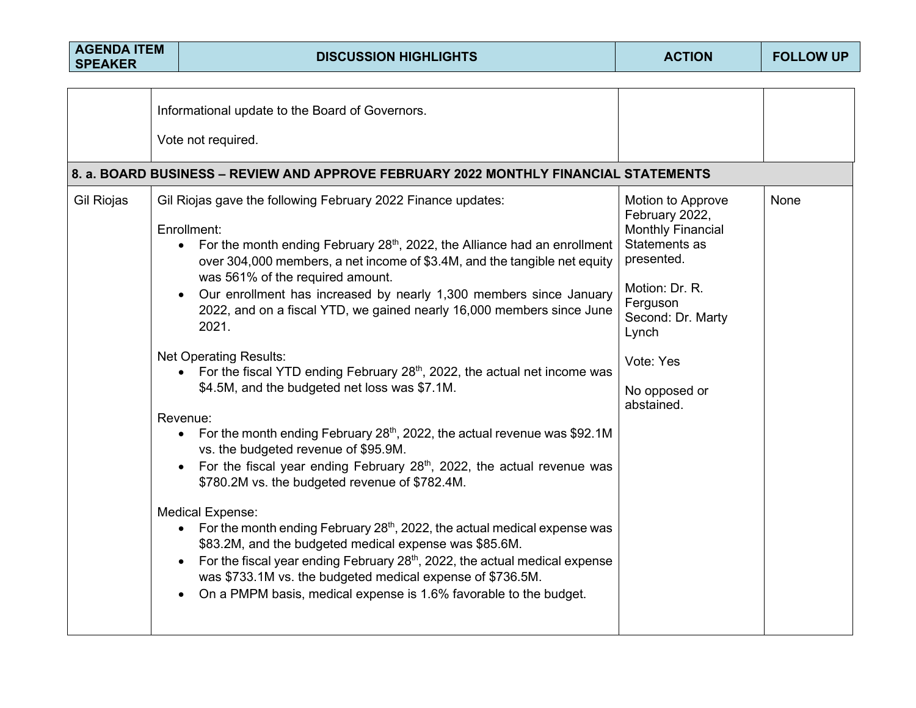| <b>AGENDA ITEM</b><br><b>SPEAKER</b> | <b>DISCUSSION HIGHLIGHTS</b>                                                                                                                                                                                                                                                                                                                                                                                                                                                                                                                                                                                                                                                                                                                                                                                                                                                                                                                                                                                                                                                                                                                                                                                                                                                                                                                             | <b>ACTION</b>                                                                                                                                                                                          | <b>FOLLOW UP</b> |
|--------------------------------------|----------------------------------------------------------------------------------------------------------------------------------------------------------------------------------------------------------------------------------------------------------------------------------------------------------------------------------------------------------------------------------------------------------------------------------------------------------------------------------------------------------------------------------------------------------------------------------------------------------------------------------------------------------------------------------------------------------------------------------------------------------------------------------------------------------------------------------------------------------------------------------------------------------------------------------------------------------------------------------------------------------------------------------------------------------------------------------------------------------------------------------------------------------------------------------------------------------------------------------------------------------------------------------------------------------------------------------------------------------|--------------------------------------------------------------------------------------------------------------------------------------------------------------------------------------------------------|------------------|
|                                      |                                                                                                                                                                                                                                                                                                                                                                                                                                                                                                                                                                                                                                                                                                                                                                                                                                                                                                                                                                                                                                                                                                                                                                                                                                                                                                                                                          |                                                                                                                                                                                                        |                  |
|                                      | Informational update to the Board of Governors.                                                                                                                                                                                                                                                                                                                                                                                                                                                                                                                                                                                                                                                                                                                                                                                                                                                                                                                                                                                                                                                                                                                                                                                                                                                                                                          |                                                                                                                                                                                                        |                  |
|                                      | Vote not required.                                                                                                                                                                                                                                                                                                                                                                                                                                                                                                                                                                                                                                                                                                                                                                                                                                                                                                                                                                                                                                                                                                                                                                                                                                                                                                                                       |                                                                                                                                                                                                        |                  |
|                                      | 8. a. BOARD BUSINESS – REVIEW AND APPROVE FEBRUARY 2022 MONTHLY FINANCIAL STATEMENTS                                                                                                                                                                                                                                                                                                                                                                                                                                                                                                                                                                                                                                                                                                                                                                                                                                                                                                                                                                                                                                                                                                                                                                                                                                                                     |                                                                                                                                                                                                        |                  |
| Gil Riojas                           | Gil Riojas gave the following February 2022 Finance updates:<br>Enrollment:<br>For the month ending February 28 <sup>th</sup> , 2022, the Alliance had an enrollment<br>$\bullet$<br>over 304,000 members, a net income of \$3.4M, and the tangible net equity<br>was 561% of the required amount.<br>Our enrollment has increased by nearly 1,300 members since January<br>2022, and on a fiscal YTD, we gained nearly 16,000 members since June<br>2021.<br><b>Net Operating Results:</b><br>For the fiscal YTD ending February 28 <sup>th</sup> , 2022, the actual net income was<br>$\bullet$<br>\$4.5M, and the budgeted net loss was \$7.1M.<br>Revenue:<br>• For the month ending February 28 <sup>th</sup> , 2022, the actual revenue was \$92.1M<br>vs. the budgeted revenue of \$95.9M.<br>For the fiscal year ending February 28 <sup>th</sup> , 2022, the actual revenue was<br>\$780.2M vs. the budgeted revenue of \$782.4M.<br><b>Medical Expense:</b><br>• For the month ending February 28 <sup>th</sup> , 2022, the actual medical expense was<br>\$83.2M, and the budgeted medical expense was \$85.6M.<br>For the fiscal year ending February 28 <sup>th</sup> , 2022, the actual medical expense<br>was \$733.1M vs. the budgeted medical expense of \$736.5M.<br>On a PMPM basis, medical expense is 1.6% favorable to the budget. | Motion to Approve<br>February 2022,<br><b>Monthly Financial</b><br>Statements as<br>presented.<br>Motion: Dr. R.<br>Ferguson<br>Second: Dr. Marty<br>Lynch<br>Vote: Yes<br>No opposed or<br>abstained. | None             |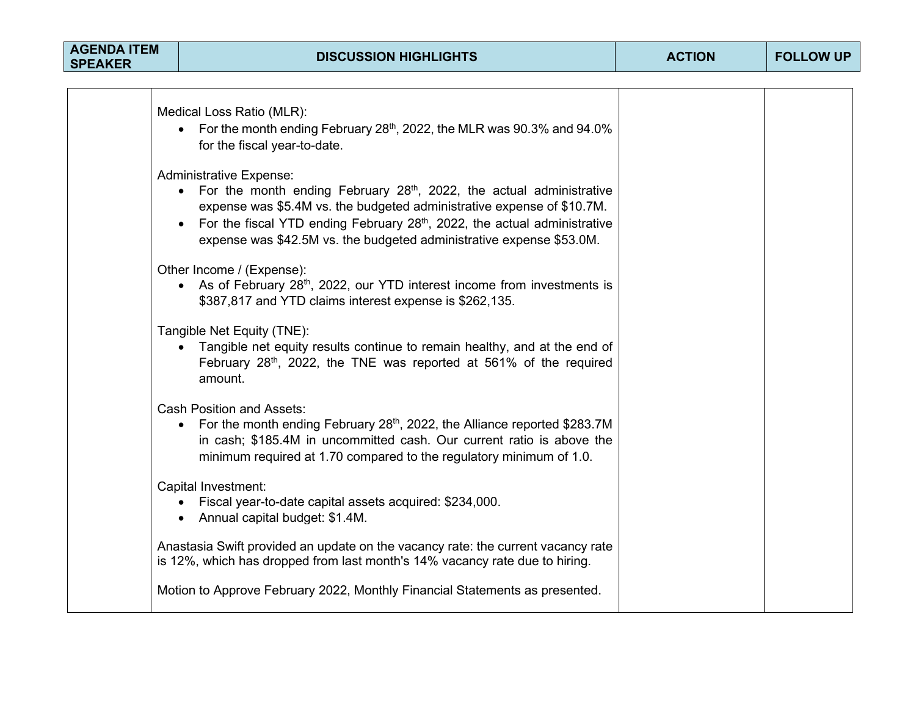| <b>AGENDA ITEM</b><br><b>SPEAKER</b> | <b>DISCUSSION HIGHLIGHTS</b>                                                                                                                                                                                                                                                                                                                | <b>ACTION</b> | <b>FOLLOW UP</b> |
|--------------------------------------|---------------------------------------------------------------------------------------------------------------------------------------------------------------------------------------------------------------------------------------------------------------------------------------------------------------------------------------------|---------------|------------------|
|                                      |                                                                                                                                                                                                                                                                                                                                             |               |                  |
|                                      | Medical Loss Ratio (MLR):<br>• For the month ending February 28 <sup>th</sup> , 2022, the MLR was 90.3% and 94.0%<br>for the fiscal year-to-date.                                                                                                                                                                                           |               |                  |
|                                      | <b>Administrative Expense:</b><br>• For the month ending February $28th$ , 2022, the actual administrative<br>expense was \$5.4M vs. the budgeted administrative expense of \$10.7M.<br>For the fiscal YTD ending February $28th$ , 2022, the actual administrative<br>expense was \$42.5M vs. the budgeted administrative expense \$53.0M. |               |                  |
|                                      | Other Income / (Expense):<br>• As of February 28 <sup>th</sup> , 2022, our YTD interest income from investments is<br>\$387,817 and YTD claims interest expense is \$262,135.                                                                                                                                                               |               |                  |
|                                      | Tangible Net Equity (TNE):<br>• Tangible net equity results continue to remain healthy, and at the end of<br>February 28 <sup>th</sup> , 2022, the TNE was reported at 561% of the required<br>amount.                                                                                                                                      |               |                  |
|                                      | <b>Cash Position and Assets:</b><br>For the month ending February 28 <sup>th</sup> , 2022, the Alliance reported \$283.7M<br>in cash; \$185.4M in uncommitted cash. Our current ratio is above the<br>minimum required at 1.70 compared to the regulatory minimum of 1.0.                                                                   |               |                  |
|                                      | Capital Investment:<br>Fiscal year-to-date capital assets acquired: \$234,000.<br>$\bullet$<br>• Annual capital budget: \$1.4M.                                                                                                                                                                                                             |               |                  |
|                                      | Anastasia Swift provided an update on the vacancy rate: the current vacancy rate<br>is 12%, which has dropped from last month's 14% vacancy rate due to hiring.                                                                                                                                                                             |               |                  |
|                                      | Motion to Approve February 2022, Monthly Financial Statements as presented.                                                                                                                                                                                                                                                                 |               |                  |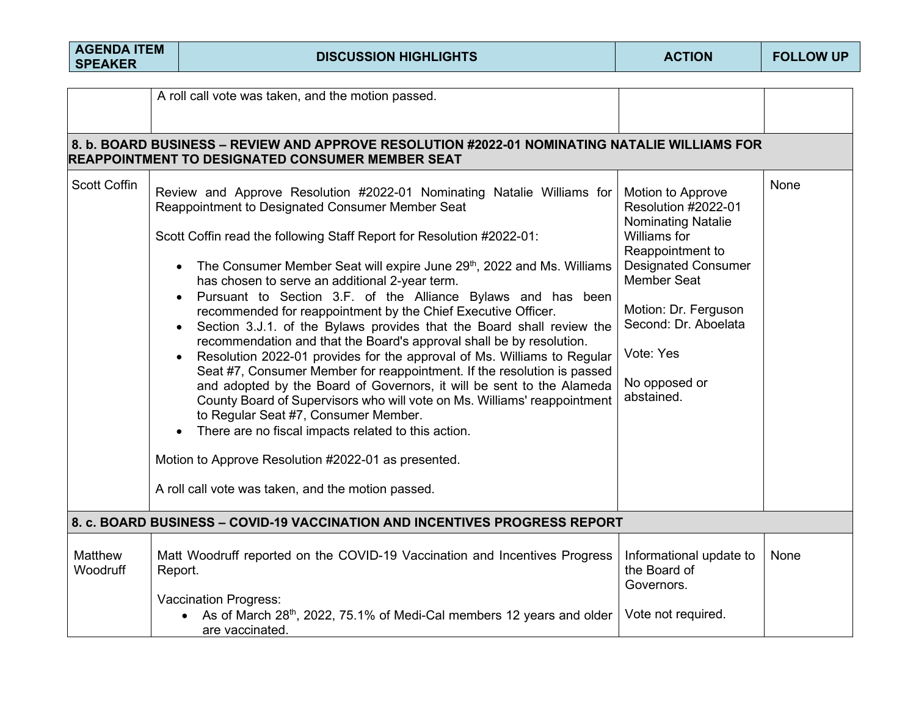| <b>AGENDA ITEM</b><br><b>SPEAKER</b> | <b>DISCUSSION HIGHLIGHTS</b>                                                                                                                                                                                                                                                                                                                                                                                                                                                                                                                                                                                                                                                                                                                                                                                                                                                                                                                                                                                                                                                                                                                                                                                                 | <b>ACTION</b>                                                                                                                                                                                                                                             | <b>FOLLOW UP</b> |
|--------------------------------------|------------------------------------------------------------------------------------------------------------------------------------------------------------------------------------------------------------------------------------------------------------------------------------------------------------------------------------------------------------------------------------------------------------------------------------------------------------------------------------------------------------------------------------------------------------------------------------------------------------------------------------------------------------------------------------------------------------------------------------------------------------------------------------------------------------------------------------------------------------------------------------------------------------------------------------------------------------------------------------------------------------------------------------------------------------------------------------------------------------------------------------------------------------------------------------------------------------------------------|-----------------------------------------------------------------------------------------------------------------------------------------------------------------------------------------------------------------------------------------------------------|------------------|
|                                      | A roll call vote was taken, and the motion passed.<br>8. b. BOARD BUSINESS – REVIEW AND APPROVE RESOLUTION #2022-01 NOMINATING NATALIE WILLIAMS FOR                                                                                                                                                                                                                                                                                                                                                                                                                                                                                                                                                                                                                                                                                                                                                                                                                                                                                                                                                                                                                                                                          |                                                                                                                                                                                                                                                           |                  |
| <b>Scott Coffin</b>                  | <b>REAPPOINTMENT TO DESIGNATED CONSUMER MEMBER SEAT</b><br>Review and Approve Resolution #2022-01 Nominating Natalie Williams for<br>Reappointment to Designated Consumer Member Seat<br>Scott Coffin read the following Staff Report for Resolution #2022-01:<br>The Consumer Member Seat will expire June 29 <sup>th</sup> , 2022 and Ms. Williams<br>has chosen to serve an additional 2-year term.<br>Pursuant to Section 3.F. of the Alliance Bylaws and has been<br>recommended for reappointment by the Chief Executive Officer.<br>Section 3.J.1. of the Bylaws provides that the Board shall review the<br>recommendation and that the Board's approval shall be by resolution.<br>Resolution 2022-01 provides for the approval of Ms. Williams to Regular<br>Seat #7, Consumer Member for reappointment. If the resolution is passed<br>and adopted by the Board of Governors, it will be sent to the Alameda<br>County Board of Supervisors who will vote on Ms. Williams' reappointment<br>to Regular Seat #7, Consumer Member.<br>There are no fiscal impacts related to this action.<br>$\bullet$<br>Motion to Approve Resolution #2022-01 as presented.<br>A roll call vote was taken, and the motion passed. | Motion to Approve<br>Resolution #2022-01<br><b>Nominating Natalie</b><br>Williams for<br>Reappointment to<br><b>Designated Consumer</b><br><b>Member Seat</b><br>Motion: Dr. Ferguson<br>Second: Dr. Aboelata<br>Vote: Yes<br>No opposed or<br>abstained. | <b>None</b>      |
|                                      | 8. c. BOARD BUSINESS - COVID-19 VACCINATION AND INCENTIVES PROGRESS REPORT                                                                                                                                                                                                                                                                                                                                                                                                                                                                                                                                                                                                                                                                                                                                                                                                                                                                                                                                                                                                                                                                                                                                                   |                                                                                                                                                                                                                                                           |                  |
| Matthew<br>Woodruff                  | Matt Woodruff reported on the COVID-19 Vaccination and Incentives Progress<br>Report.<br><b>Vaccination Progress:</b><br>As of March 28 <sup>th</sup> , 2022, 75.1% of Medi-Cal members 12 years and older<br>$\bullet$<br>are vaccinated.                                                                                                                                                                                                                                                                                                                                                                                                                                                                                                                                                                                                                                                                                                                                                                                                                                                                                                                                                                                   | Informational update to<br>the Board of<br>Governors.<br>Vote not required.                                                                                                                                                                               | None             |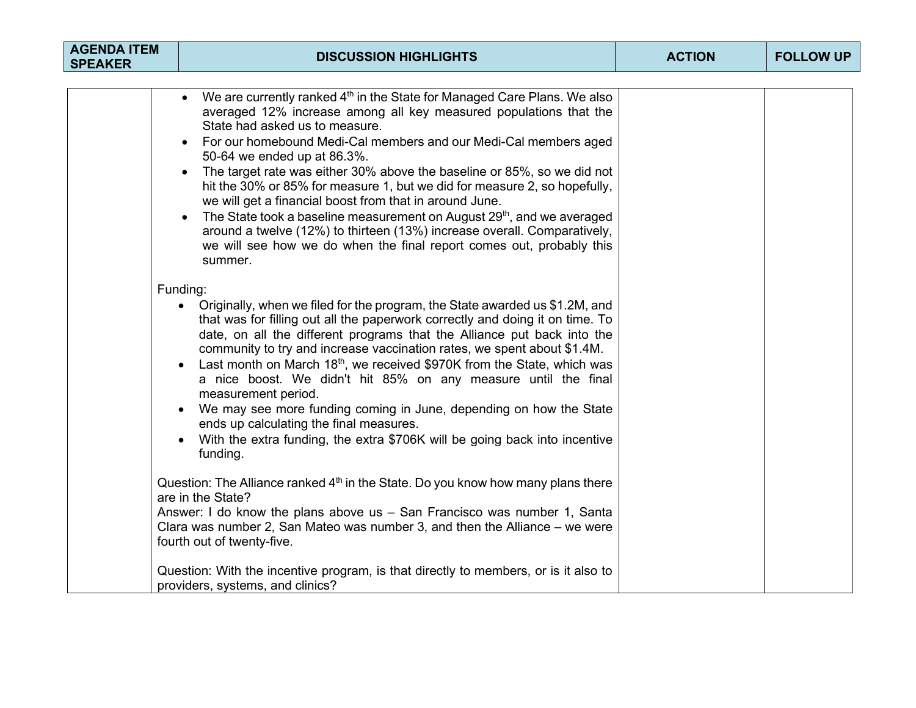| <b>AGENDA ITEM</b><br><b>SPEAKER</b> | <b>DISCUSSION HIGHLIGHTS</b>                                                                                                                                                                                                                                                                                                                                                                                                                                                                                                                                                                                                                                                                                                                                              | <b>ACTION</b> | <b>FOLLOW UP</b> |
|--------------------------------------|---------------------------------------------------------------------------------------------------------------------------------------------------------------------------------------------------------------------------------------------------------------------------------------------------------------------------------------------------------------------------------------------------------------------------------------------------------------------------------------------------------------------------------------------------------------------------------------------------------------------------------------------------------------------------------------------------------------------------------------------------------------------------|---------------|------------------|
|                                      | We are currently ranked $4th$ in the State for Managed Care Plans. We also<br>averaged 12% increase among all key measured populations that the<br>State had asked us to measure.<br>For our homebound Medi-Cal members and our Medi-Cal members aged<br>50-64 we ended up at 86.3%.<br>The target rate was either 30% above the baseline or 85%, so we did not<br>$\bullet$<br>hit the 30% or 85% for measure 1, but we did for measure 2, so hopefully,<br>we will get a financial boost from that in around June.<br>The State took a baseline measurement on August 29 <sup>th</sup> , and we averaged<br>around a twelve (12%) to thirteen (13%) increase overall. Comparatively,<br>we will see how we do when the final report comes out, probably this<br>summer. |               |                  |
|                                      | Funding:<br>• Originally, when we filed for the program, the State awarded us \$1.2M, and<br>that was for filling out all the paperwork correctly and doing it on time. To<br>date, on all the different programs that the Alliance put back into the<br>community to try and increase vaccination rates, we spent about \$1.4M.<br>Last month on March $18th$ , we received \$970K from the State, which was<br>$\bullet$<br>a nice boost. We didn't hit 85% on any measure until the final<br>measurement period.<br>We may see more funding coming in June, depending on how the State<br>$\bullet$<br>ends up calculating the final measures.<br>With the extra funding, the extra \$706K will be going back into incentive<br>funding.                               |               |                  |
|                                      | Question: The Alliance ranked 4 <sup>th</sup> in the State. Do you know how many plans there<br>are in the State?<br>Answer: I do know the plans above us - San Francisco was number 1, Santa<br>Clara was number 2, San Mateo was number 3, and then the Alliance – we were<br>fourth out of twenty-five.<br>Question: With the incentive program, is that directly to members, or is it also to<br>providers, systems, and clinics?                                                                                                                                                                                                                                                                                                                                     |               |                  |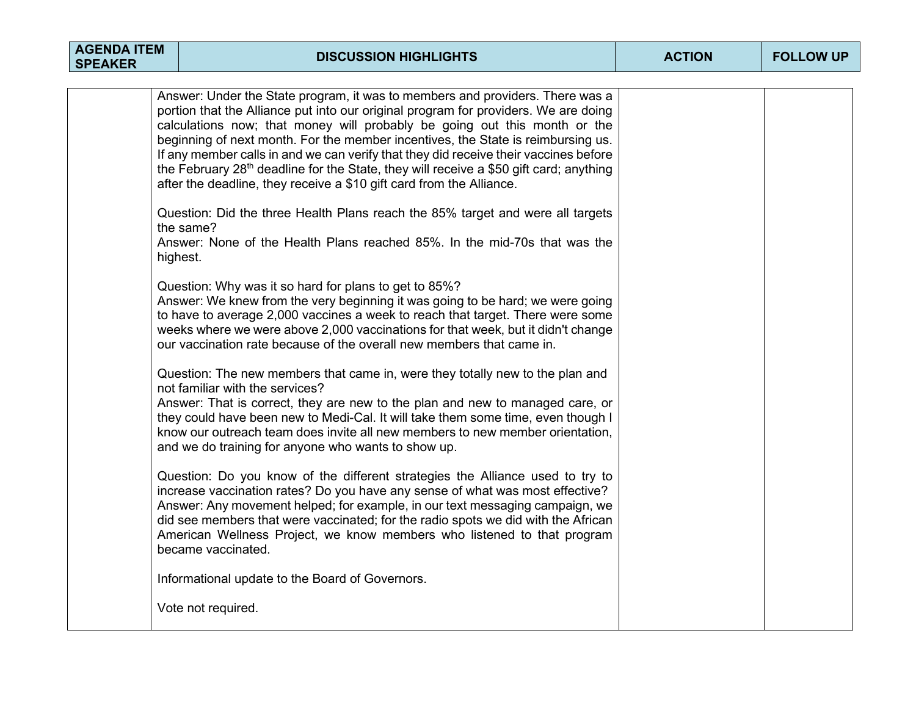| <b>AGENDA ITEM</b><br><b>SPEAKER</b> | <b>DISCUSSION HIGHLIGHTS</b>                                                                                                                                                                                                                                                                                                                                                                                                                                                                                                                                                                                | <b>ACTION</b> | <b>FOLLOW UP</b> |
|--------------------------------------|-------------------------------------------------------------------------------------------------------------------------------------------------------------------------------------------------------------------------------------------------------------------------------------------------------------------------------------------------------------------------------------------------------------------------------------------------------------------------------------------------------------------------------------------------------------------------------------------------------------|---------------|------------------|
|                                      | Answer: Under the State program, it was to members and providers. There was a<br>portion that the Alliance put into our original program for providers. We are doing<br>calculations now; that money will probably be going out this month or the<br>beginning of next month. For the member incentives, the State is reimbursing us.<br>If any member calls in and we can verify that they did receive their vaccines before<br>the February 28 <sup>th</sup> deadline for the State, they will receive a \$50 gift card; anything<br>after the deadline, they receive a \$10 gift card from the Alliance. |               |                  |
|                                      | Question: Did the three Health Plans reach the 85% target and were all targets<br>the same?<br>Answer: None of the Health Plans reached 85%. In the mid-70s that was the<br>highest.                                                                                                                                                                                                                                                                                                                                                                                                                        |               |                  |
|                                      | Question: Why was it so hard for plans to get to 85%?<br>Answer: We knew from the very beginning it was going to be hard; we were going<br>to have to average 2,000 vaccines a week to reach that target. There were some<br>weeks where we were above 2,000 vaccinations for that week, but it didn't change<br>our vaccination rate because of the overall new members that came in.                                                                                                                                                                                                                      |               |                  |
|                                      | Question: The new members that came in, were they totally new to the plan and<br>not familiar with the services?<br>Answer: That is correct, they are new to the plan and new to managed care, or<br>they could have been new to Medi-Cal. It will take them some time, even though I<br>know our outreach team does invite all new members to new member orientation,<br>and we do training for anyone who wants to show up.                                                                                                                                                                               |               |                  |
|                                      | Question: Do you know of the different strategies the Alliance used to try to<br>increase vaccination rates? Do you have any sense of what was most effective?<br>Answer: Any movement helped; for example, in our text messaging campaign, we<br>did see members that were vaccinated; for the radio spots we did with the African<br>American Wellness Project, we know members who listened to that program<br>became vaccinated.                                                                                                                                                                        |               |                  |
|                                      | Informational update to the Board of Governors.<br>Vote not required.                                                                                                                                                                                                                                                                                                                                                                                                                                                                                                                                       |               |                  |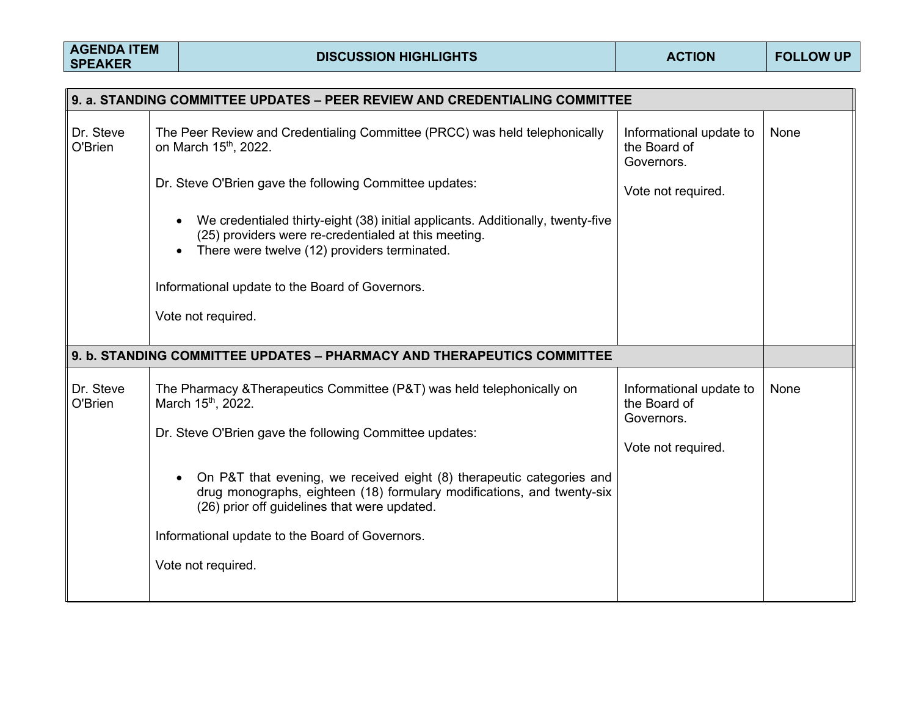| 9. a. STANDING COMMITTEE UPDATES – PEER REVIEW AND CREDENTIALING COMMITTEE |                                                                                                                                                                                                                   |                                                       |      |
|----------------------------------------------------------------------------|-------------------------------------------------------------------------------------------------------------------------------------------------------------------------------------------------------------------|-------------------------------------------------------|------|
| Dr. Steve<br>O'Brien                                                       | The Peer Review and Credentialing Committee (PRCC) was held telephonically<br>on March 15 <sup>th</sup> , 2022.                                                                                                   | Informational update to<br>the Board of<br>Governors. | None |
|                                                                            | Dr. Steve O'Brien gave the following Committee updates:                                                                                                                                                           | Vote not required.                                    |      |
|                                                                            | We credentialed thirty-eight (38) initial applicants. Additionally, twenty-five<br>$\bullet$<br>(25) providers were re-credentialed at this meeting.<br>There were twelve (12) providers terminated.<br>$\bullet$ |                                                       |      |
|                                                                            | Informational update to the Board of Governors.                                                                                                                                                                   |                                                       |      |
|                                                                            | Vote not required.                                                                                                                                                                                                |                                                       |      |
|                                                                            | 9. b. STANDING COMMITTEE UPDATES - PHARMACY AND THERAPEUTICS COMMITTEE                                                                                                                                            |                                                       |      |
| Dr. Steve<br>O'Brien                                                       | The Pharmacy & Therapeutics Committee (P&T) was held telephonically on<br>March 15th, 2022.<br>Dr. Steve O'Brien gave the following Committee updates:                                                            | Informational update to<br>the Board of<br>Governors. | None |
|                                                                            | On P&T that evening, we received eight (8) therapeutic categories and<br>drug monographs, eighteen (18) formulary modifications, and twenty-six<br>(26) prior off guidelines that were updated.                   | Vote not required.                                    |      |
|                                                                            | Informational update to the Board of Governors.                                                                                                                                                                   |                                                       |      |
|                                                                            | Vote not required.                                                                                                                                                                                                |                                                       |      |
|                                                                            |                                                                                                                                                                                                                   |                                                       |      |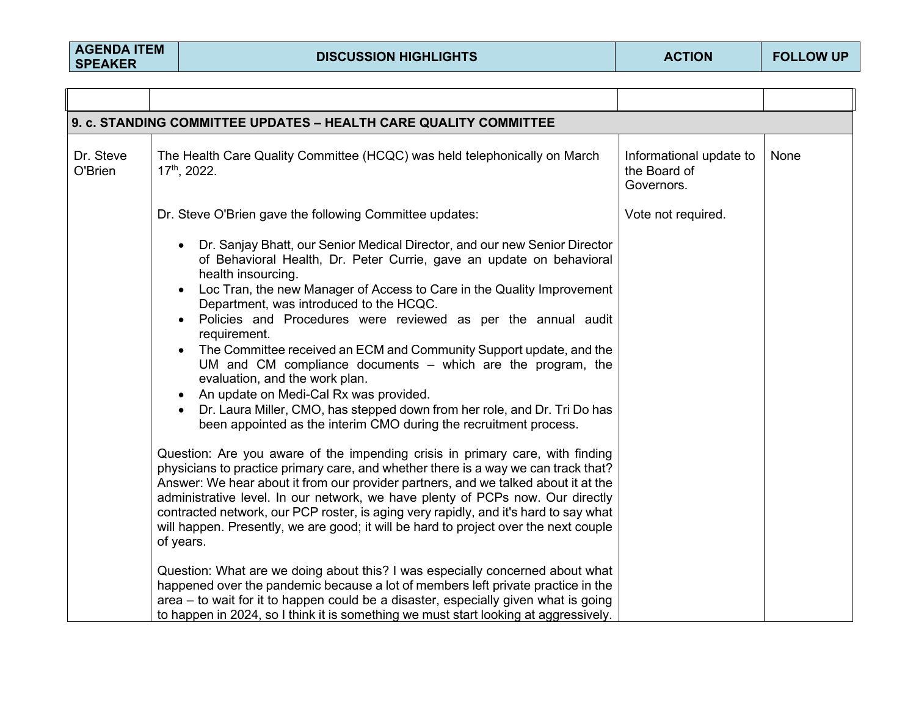| 9. c. STANDING COMMITTEE UPDATES - HEALTH CARE QUALITY COMMITTEE |                                                                                                                                                                                                                                                                                                                                                                                                                                                                                                                                                                                                                                                                                                                                                                                                                                                                                                                                                                                                                                                                                                                                                                                                                                                                                   |                                                       |      |
|------------------------------------------------------------------|-----------------------------------------------------------------------------------------------------------------------------------------------------------------------------------------------------------------------------------------------------------------------------------------------------------------------------------------------------------------------------------------------------------------------------------------------------------------------------------------------------------------------------------------------------------------------------------------------------------------------------------------------------------------------------------------------------------------------------------------------------------------------------------------------------------------------------------------------------------------------------------------------------------------------------------------------------------------------------------------------------------------------------------------------------------------------------------------------------------------------------------------------------------------------------------------------------------------------------------------------------------------------------------|-------------------------------------------------------|------|
| Dr. Steve<br>O'Brien                                             | The Health Care Quality Committee (HCQC) was held telephonically on March<br>$17th$ , 2022.                                                                                                                                                                                                                                                                                                                                                                                                                                                                                                                                                                                                                                                                                                                                                                                                                                                                                                                                                                                                                                                                                                                                                                                       | Informational update to<br>the Board of<br>Governors. | None |
|                                                                  | Dr. Steve O'Brien gave the following Committee updates:                                                                                                                                                                                                                                                                                                                                                                                                                                                                                                                                                                                                                                                                                                                                                                                                                                                                                                                                                                                                                                                                                                                                                                                                                           | Vote not required.                                    |      |
|                                                                  | Dr. Sanjay Bhatt, our Senior Medical Director, and our new Senior Director<br>of Behavioral Health, Dr. Peter Currie, gave an update on behavioral<br>health insourcing.<br>Loc Tran, the new Manager of Access to Care in the Quality Improvement<br>Department, was introduced to the HCQC.<br>Policies and Procedures were reviewed as per the annual audit<br>requirement.<br>The Committee received an ECM and Community Support update, and the<br>UM and CM compliance documents - which are the program, the<br>evaluation, and the work plan.<br>An update on Medi-Cal Rx was provided.<br>Dr. Laura Miller, CMO, has stepped down from her role, and Dr. Tri Do has<br>been appointed as the interim CMO during the recruitment process.<br>Question: Are you aware of the impending crisis in primary care, with finding<br>physicians to practice primary care, and whether there is a way we can track that?<br>Answer: We hear about it from our provider partners, and we talked about it at the<br>administrative level. In our network, we have plenty of PCPs now. Our directly<br>contracted network, our PCP roster, is aging very rapidly, and it's hard to say what<br>will happen. Presently, we are good; it will be hard to project over the next couple |                                                       |      |
|                                                                  | of years.<br>Question: What are we doing about this? I was especially concerned about what<br>happened over the pandemic because a lot of members left private practice in the<br>area – to wait for it to happen could be a disaster, especially given what is going<br>to happen in 2024, so I think it is something we must start looking at aggressively.                                                                                                                                                                                                                                                                                                                                                                                                                                                                                                                                                                                                                                                                                                                                                                                                                                                                                                                     |                                                       |      |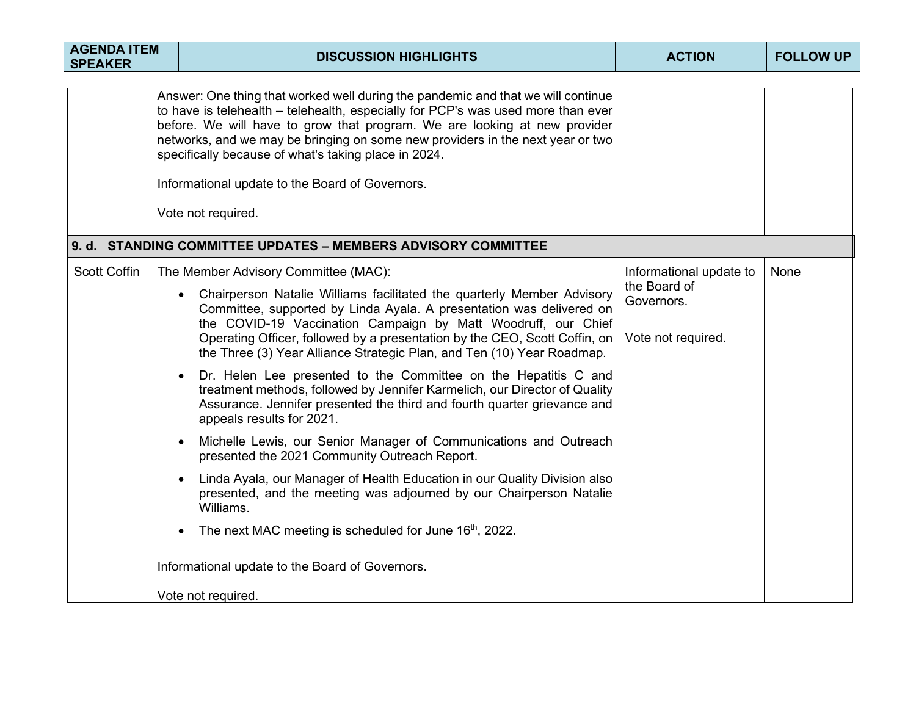| <b>AGENDA ITEM</b><br><b>SPEAKER</b> | <b>DISCUSSION HIGHLIGHTS</b>                                                                                                                                                                                                                                                                                                                                                                                                                                                                                                                                                                                                                                                                                                                                                                                                                                                                                                                                                                                                                                                                                     | <b>ACTION</b>                                                               | <b>FOLLOW UP</b> |
|--------------------------------------|------------------------------------------------------------------------------------------------------------------------------------------------------------------------------------------------------------------------------------------------------------------------------------------------------------------------------------------------------------------------------------------------------------------------------------------------------------------------------------------------------------------------------------------------------------------------------------------------------------------------------------------------------------------------------------------------------------------------------------------------------------------------------------------------------------------------------------------------------------------------------------------------------------------------------------------------------------------------------------------------------------------------------------------------------------------------------------------------------------------|-----------------------------------------------------------------------------|------------------|
|                                      | Answer: One thing that worked well during the pandemic and that we will continue<br>to have is telehealth – telehealth, especially for PCP's was used more than ever<br>before. We will have to grow that program. We are looking at new provider<br>networks, and we may be bringing on some new providers in the next year or two<br>specifically because of what's taking place in 2024.<br>Informational update to the Board of Governors.<br>Vote not required.                                                                                                                                                                                                                                                                                                                                                                                                                                                                                                                                                                                                                                             |                                                                             |                  |
|                                      | 9. d. STANDING COMMITTEE UPDATES - MEMBERS ADVISORY COMMITTEE                                                                                                                                                                                                                                                                                                                                                                                                                                                                                                                                                                                                                                                                                                                                                                                                                                                                                                                                                                                                                                                    |                                                                             |                  |
| <b>Scott Coffin</b>                  | The Member Advisory Committee (MAC):<br>Chairperson Natalie Williams facilitated the quarterly Member Advisory<br>Committee, supported by Linda Ayala. A presentation was delivered on<br>the COVID-19 Vaccination Campaign by Matt Woodruff, our Chief<br>Operating Officer, followed by a presentation by the CEO, Scott Coffin, on<br>the Three (3) Year Alliance Strategic Plan, and Ten (10) Year Roadmap.<br>Dr. Helen Lee presented to the Committee on the Hepatitis C and<br>treatment methods, followed by Jennifer Karmelich, our Director of Quality<br>Assurance. Jennifer presented the third and fourth quarter grievance and<br>appeals results for 2021.<br>Michelle Lewis, our Senior Manager of Communications and Outreach<br>presented the 2021 Community Outreach Report.<br>Linda Ayala, our Manager of Health Education in our Quality Division also<br>presented, and the meeting was adjourned by our Chairperson Natalie<br>Williams.<br>The next MAC meeting is scheduled for June 16th, 2022.<br>$\bullet$<br>Informational update to the Board of Governors.<br>Vote not required. | Informational update to<br>the Board of<br>Governors.<br>Vote not required. | None             |